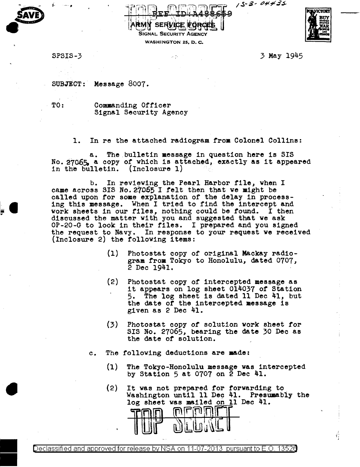---- - -;rr11 r.' ,, ;;1~1iq9 , *.s--i-* ,,,,,,#-



 $\frac{1}{2}$ 

•

 $\frac{1}{2}$  army searling to real  $\frac{1}{2}$ SIGNAL SECURITY AGENCY

" I , t J -- \\_ \ : . , *:'* , \_\_\_ ;i

WASHINGTON 25, D. C.



SPSIS-3 3 May 1945

SUBJECT: Message 8007.

TO: Commanding Officer Signal Security Agency

1. In re the attached radiogram from Colonel Colline:

a. The bulletin message in question here is SIS No. 27065, a copy of which is attached, exactly as it appeared in the bulletin. (Inclosure 1)

b. In reviewing the Pearl Harbor file, when I came across SIS No. 27065 I felt then that we might be called upon for some explanation of the delay 1n process- ing this message. When I tried to find the intercept and work sheets in our files, nothing could be found. I then discussed the matter with you and suggested that we ask OP-20-G to look in their files. I prepared and you signed the request to Navy. In response to your request we received (Inclosure 2) the following items:

- (1) Photostat copy of original Mackay radiogram from Tokyo to Honolulu, dated 0707, 2 Dec 1941.
- (2) Photostat copy or intercepted message as it appears on log sheet 014037 *of* Station 5. The log sheet is dated 11 Dec 41, but the date or the intercepted message is given as 2 Dec 41.
- (3) Photostat copy or solution work sheet for SIS No. 27065, bearing the date 30 Dec as the date or solution.
- c. The following deductions are aade:
	- (1) The Tokyo-Honolulu message was intercepted by Station 5 at 0707 on 2 Dec 41.
	- (2) It was not prepared for forwarding to. Washington until 11 Dec 41. Presumably the log sheet was m&iled on ll Dec 41.

to a control and the second state of the second state of the second state of the second state of the second state of the second state of the second state of the second state of the second state of the second state of the s

Declassified and approved for release by NSA on 11-07-2013 pursuant to E .0. 1352a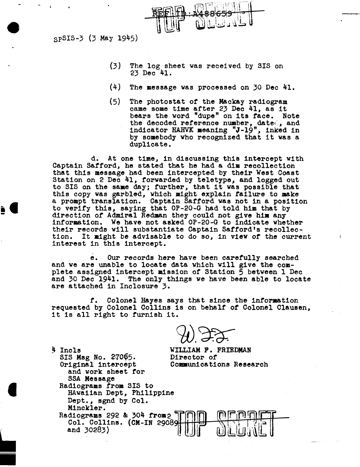3pSIS-3 (3 May 1945)

- (3) The log sheet was received by SIS on 23 Dec 41.
- (4) The message was processed on 30 Dec 41.
- (5) The photostat of the Mackay radiogram rne photostat of the mackay radiogram<br>came some time after 23 Dec 41, as it bears the word "dupe" on its face. Note the decoded reference number, dated, and indicator HAHVK meaning "J-19", inked in by somebody who recognized that it was a duplicate.

d. At one time, in discussing this intercept with Captain Safford, he stated that he had a dim recollection that this message had been intercepted by their West Coast Station on 2 Dec 41, forwarded by teletype, and logged out to SIS on the same day; further, that it was possible that this copy was garbled, which might explain failure to make a prompt translation. Captain Safford was not in a position to verify this, saying that OP-20-G had told him that by direction of Admiral Redman they could not give him any information. We have not asked OP-20-G to indicate whether their records will substantiate Captain Safford's recollection. It might be advisable to do so, in view of the current interest in this intercept.

e. Our records here have been carefully searched and we are unable to locate data which will give the complete assigned intercept mission of Station 5 between 1 Dec and 30 Dec 1941. The only things we have been able to locate are attached in Inclosure 3.

*t.* Colonel Hayes says that since the information requested by Colonel Collins is on behalf *ot* Colonel Clausen, it is all right to furnish it.

WILLIAM F. FRIEDMAN Director *of*  Communications Research

SIS Msg No. 27065. Original intercept and work sheet for SSA Message Radiograms from SIS to HAwaiian Dept, Philippine Dept., sgnd by Col. Minckler.

**₩** 

4 Incls

•

Radiograms 292 & 304 from  $2 \begin{bmatrix} 1 & 0 & 0 \\ 0 & 1 & 0 \\ 0 & 0 & 0 \end{bmatrix}$ and 30283)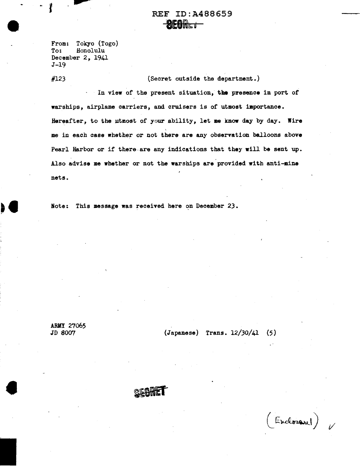## REF ID:A488659 **BEONLI**

From: Tokyo (Togo) Honolulu December 2, 1941 J-19

#123

(Secret outside the department.)

In view of the present situation, the presence in port of warships, airplane carriers, and cruisers is of utmost importance. Hereafter, to the utmost of your ability, let me know day by day. Wire me in each case whether or not there are any observation balloons above Pearl Harbor or if there, are any indications that they will be sent up. Also advise me whether or not the warships are provided with anti-mine nets.

Note: This message was received here on December 23.

ARMY 27065<br>JD 8007

•

 $(Japanese)$  Trans.  $12/30/41$  (5)

(Encloser)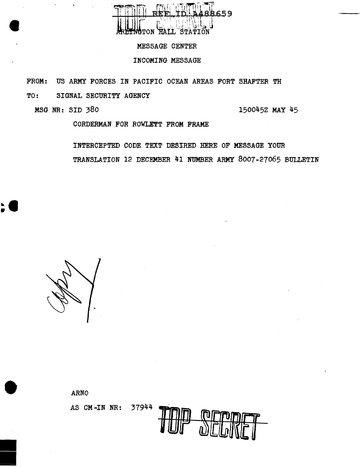

#### MESSAGE CENTER

#### INCOMING MESSAGE

FROM: US ARMY FORCES IN PACIFIC OCEAN AREAS FORT SHAFTER TH

TO: SIGNAL SECURITY AGENCY

MSG NR: SID 380 150045Z MAY 45

•

•

CORDERMAN FOR ROWLETT FROM FRAME

INTERCEPTED CODE TEXT DESIRED HERE OF MESSAGE YOUR TRANSLATION 12 DECEMBER 41 NUMBER ARMY 8007-27065 BULLETIN

ARNO AS CM-IN NR: 37944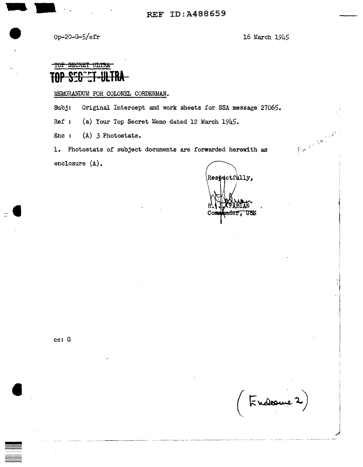• Op-20-G-5/efr 16 March 1945

Fudoure 2

'

 $\mathbf{I}$ 

# TO<del>P SECRET ULTRA</del> **TOP 320 CT-ULTRA**

MEMORANDUM FOR COLONEL CORDERMAN.

Subj: Original Intercept and work sheets for SSA message 27065.

Ref : (a) Your Top Secret Memo dated 12 March 1945.

Enc :  $(A)$  3 Photostats.<br>1. Photostats of subject documents one formulation of  $\mathcal{L}$ 1. Photostats of subject documents are forwarded herewith as enclosure (A).

Respectfully, <del>n</del>der, USN  $_{\text{Com}}$ 

cc: G

**•**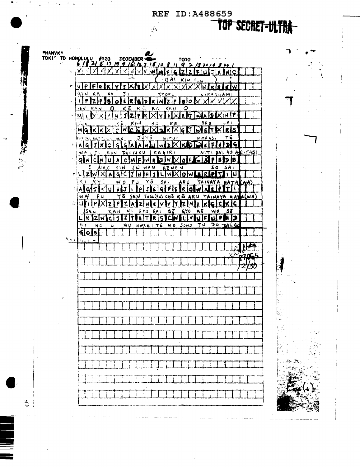### REF ID:A488659

 $\frac{3}{2}$ 

TOP SECRET-ULTRA-

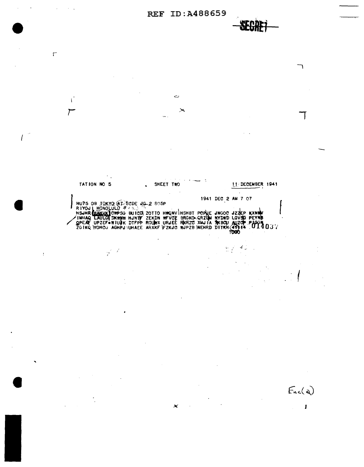